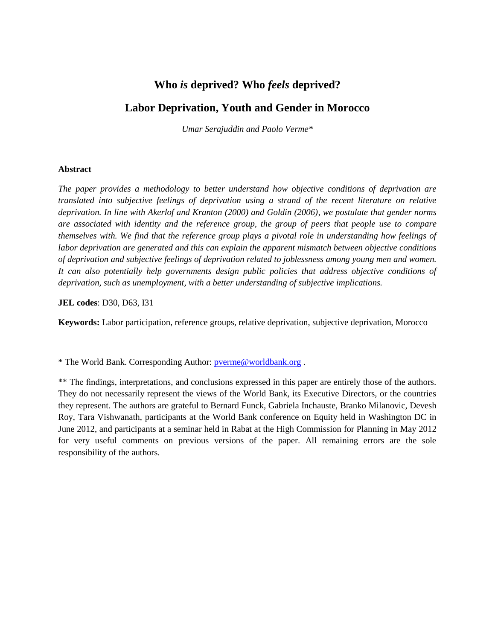# **Who** *is* **deprived? Who** *feels* **deprived?**

# **Labor Deprivation, Youth and Gender in Morocco**

*Umar Serajuddin and Paolo Verme\**

### **Abstract**

*The paper provides a methodology to better understand how objective conditions of deprivation are translated into subjective feelings of deprivation using a strand of the recent literature on relative deprivation. In line with Akerlof and Kranton (2000) and Goldin (2006), we postulate that gender norms are associated with identity and the reference group, the group of peers that people use to compare themselves with. We find that the reference group plays a pivotal role in understanding how feelings of labor deprivation are generated and this can explain the apparent mismatch between objective conditions of deprivation and subjective feelings of deprivation related to joblessness among young men and women. It can also potentially help governments design public policies that address objective conditions of deprivation, such as unemployment, with a better understanding of subjective implications.*

**JEL codes**: D30, D63, I31

**Keywords:** Labor participation, reference groups, relative deprivation, subjective deprivation, Morocco

\* The World Bank. Corresponding Author: [pverme@worldbank.org](mailto:pverme@worldbank.org) .

\*\* The findings, interpretations, and conclusions expressed in this paper are entirely those of the authors. They do not necessarily represent the views of the World Bank, its Executive Directors, or the countries they represent. The authors are grateful to Bernard Funck, Gabriela Inchauste, Branko Milanovic, Devesh Roy, Tara Vishwanath, participants at the World Bank conference on Equity held in Washington DC in June 2012, and participants at a seminar held in Rabat at the High Commission for Planning in May 2012 for very useful comments on previous versions of the paper. All remaining errors are the sole responsibility of the authors.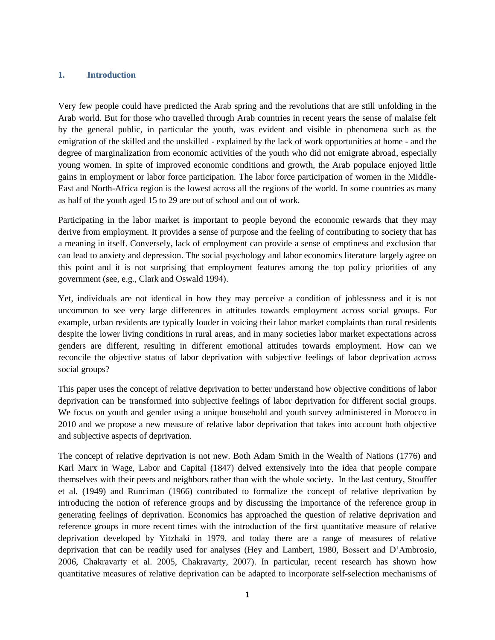#### **1. Introduction**

Very few people could have predicted the Arab spring and the revolutions that are still unfolding in the Arab world. But for those who travelled through Arab countries in recent years the sense of malaise felt by the general public, in particular the youth, was evident and visible in phenomena such as the emigration of the skilled and the unskilled - explained by the lack of work opportunities at home - and the degree of marginalization from economic activities of the youth who did not emigrate abroad, especially young women. In spite of improved economic conditions and growth, the Arab populace enjoyed little gains in employment or labor force participation. The labor force participation of women in the Middle-East and North-Africa region is the lowest across all the regions of the world. In some countries as many as half of the youth aged 15 to 29 are out of school and out of work.

Participating in the labor market is important to people beyond the economic rewards that they may derive from employment. It provides a sense of purpose and the feeling of contributing to society that has a meaning in itself. Conversely, lack of employment can provide a sense of emptiness and exclusion that can lead to anxiety and depression. The social psychology and labor economics literature largely agree on this point and it is not surprising that employment features among the top policy priorities of any government (see, e.g., Clark and Oswald 1994).

Yet, individuals are not identical in how they may perceive a condition of joblessness and it is not uncommon to see very large differences in attitudes towards employment across social groups. For example, urban residents are typically louder in voicing their labor market complaints than rural residents despite the lower living conditions in rural areas, and in many societies labor market expectations across genders are different, resulting in different emotional attitudes towards employment. How can we reconcile the objective status of labor deprivation with subjective feelings of labor deprivation across social groups?

This paper uses the concept of relative deprivation to better understand how objective conditions of labor deprivation can be transformed into subjective feelings of labor deprivation for different social groups. We focus on youth and gender using a unique household and youth survey administered in Morocco in 2010 and we propose a new measure of relative labor deprivation that takes into account both objective and subjective aspects of deprivation.

The concept of relative deprivation is not new. Both Adam Smith in the Wealth of Nations (1776) and Karl Marx in Wage, Labor and Capital (1847) delved extensively into the idea that people compare themselves with their peers and neighbors rather than with the whole society. In the last century, Stouffer et al. (1949) and Runciman (1966) contributed to formalize the concept of relative deprivation by introducing the notion of reference groups and by discussing the importance of the reference group in generating feelings of deprivation. Economics has approached the question of relative deprivation and reference groups in more recent times with the introduction of the first quantitative measure of relative deprivation developed by Yitzhaki in 1979, and today there are a range of measures of relative deprivation that can be readily used for analyses (Hey and Lambert, 1980, Bossert and D"Ambrosio, 2006, Chakravarty et al. 2005, Chakravarty, 2007). In particular, recent research has shown how quantitative measures of relative deprivation can be adapted to incorporate self-selection mechanisms of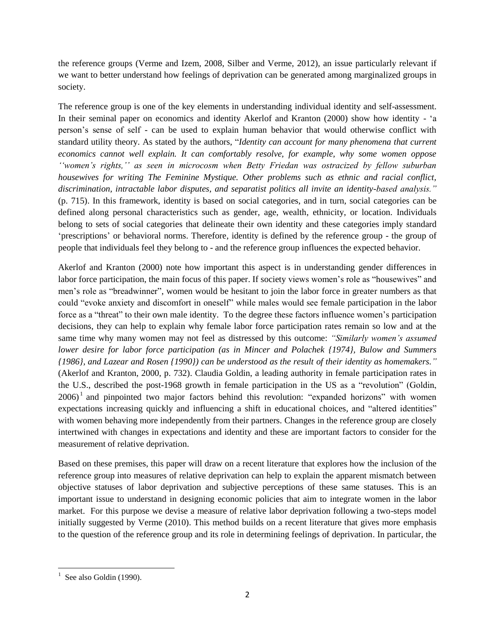the reference groups (Verme and Izem, 2008, Silber and Verme, 2012), an issue particularly relevant if we want to better understand how feelings of deprivation can be generated among marginalized groups in society.

The reference group is one of the key elements in understanding individual identity and self-assessment. In their seminal paper on economics and identity Akerlof and Kranton (2000) show how identity - "a person"s sense of self - can be used to explain human behavior that would otherwise conflict with standard utility theory. As stated by the authors, "*Identity can account for many phenomena that current economics cannot well explain. It can comfortably resolve, for example, why some women oppose ""women"s rights,"" as seen in microcosm when Betty Friedan was ostracized by fellow suburban housewives for writing The Feminine Mystique. Other problems such as ethnic and racial conflict, discrimination, intractable labor disputes, and separatist politics all invite an identity-based analysis."* (p. 715). In this framework, identity is based on social categories, and in turn, social categories can be defined along personal characteristics such as gender, age, wealth, ethnicity, or location. Individuals belong to sets of social categories that delineate their own identity and these categories imply standard 'prescriptions' or behavioral norms. Therefore, identity is defined by the reference group - the group of people that individuals feel they belong to - and the reference group influences the expected behavior.

Akerlof and Kranton (2000) note how important this aspect is in understanding gender differences in labor force participation, the main focus of this paper. If society views women's role as "housewives" and men"s role as "breadwinner", women would be hesitant to join the labor force in greater numbers as that could "evoke anxiety and discomfort in oneself" while males would see female participation in the labor force as a "threat" to their own male identity. To the degree these factors influence women"s participation decisions, they can help to explain why female labor force participation rates remain so low and at the same time why many women may not feel as distressed by this outcome: *"Similarly women"s assumed lower desire for labor force participation (as in Mincer and Polachek {1974}, Bulow and Summers {1986}, and Lazear and Rosen {1990}) can be understood as the result of their identity as homemakers."* (Akerlof and Kranton, 2000, p. 732). Claudia Goldin, a leading authority in female participation rates in the U.S., described the post-1968 growth in female participation in the US as a "revolution" (Goldin,  $2006$ <sup>1</sup> and pinpointed two major factors behind this revolution: "expanded horizons" with women expectations increasing quickly and influencing a shift in educational choices, and "altered identities" with women behaving more independently from their partners. Changes in the reference group are closely intertwined with changes in expectations and identity and these are important factors to consider for the measurement of relative deprivation.

Based on these premises, this paper will draw on a recent literature that explores how the inclusion of the reference group into measures of relative deprivation can help to explain the apparent mismatch between objective statuses of labor deprivation and subjective perceptions of these same statuses. This is an important issue to understand in designing economic policies that aim to integrate women in the labor market. For this purpose we devise a measure of relative labor deprivation following a two-steps model initially suggested by Verme (2010). This method builds on a recent literature that gives more emphasis to the question of the reference group and its role in determining feelings of deprivation. In particular, the

 $\overline{\phantom{a}}$  $1$  See also Goldin (1990).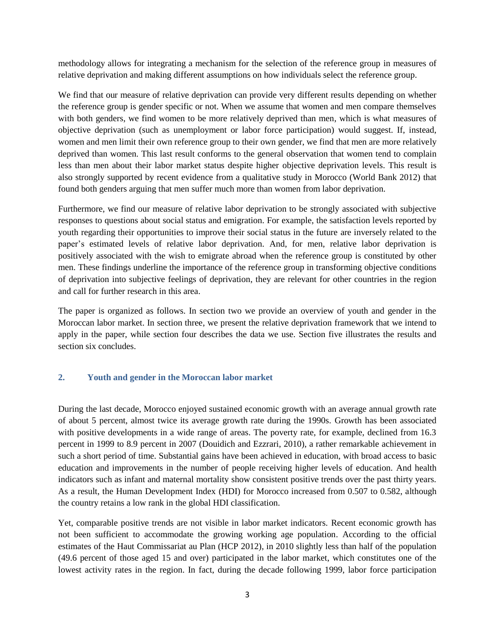methodology allows for integrating a mechanism for the selection of the reference group in measures of relative deprivation and making different assumptions on how individuals select the reference group.

We find that our measure of relative deprivation can provide very different results depending on whether the reference group is gender specific or not. When we assume that women and men compare themselves with both genders, we find women to be more relatively deprived than men, which is what measures of objective deprivation (such as unemployment or labor force participation) would suggest. If, instead, women and men limit their own reference group to their own gender, we find that men are more relatively deprived than women. This last result conforms to the general observation that women tend to complain less than men about their labor market status despite higher objective deprivation levels. This result is also strongly supported by recent evidence from a qualitative study in Morocco (World Bank 2012) that found both genders arguing that men suffer much more than women from labor deprivation.

Furthermore, we find our measure of relative labor deprivation to be strongly associated with subjective responses to questions about social status and emigration. For example, the satisfaction levels reported by youth regarding their opportunities to improve their social status in the future are inversely related to the paper"s estimated levels of relative labor deprivation. And, for men, relative labor deprivation is positively associated with the wish to emigrate abroad when the reference group is constituted by other men. These findings underline the importance of the reference group in transforming objective conditions of deprivation into subjective feelings of deprivation, they are relevant for other countries in the region and call for further research in this area.

The paper is organized as follows. In section two we provide an overview of youth and gender in the Moroccan labor market. In section three, we present the relative deprivation framework that we intend to apply in the paper, while section four describes the data we use. Section five illustrates the results and section six concludes.

### **2. Youth and gender in the Moroccan labor market**

During the last decade, Morocco enjoyed sustained economic growth with an average annual growth rate of about 5 percent, almost twice its average growth rate during the 1990s. Growth has been associated with positive developments in a wide range of areas. The poverty rate, for example, declined from 16.3 percent in 1999 to 8.9 percent in 2007 (Douidich and Ezzrari, 2010), a rather remarkable achievement in such a short period of time. Substantial gains have been achieved in education, with broad access to basic education and improvements in the number of people receiving higher levels of education. And health indicators such as infant and maternal mortality show consistent positive trends over the past thirty years. As a result, the Human Development Index (HDI) for Morocco increased from 0.507 to 0.582, although the country retains a low rank in the global HDI classification.

Yet, comparable positive trends are not visible in labor market indicators. Recent economic growth has not been sufficient to accommodate the growing working age population. According to the official estimates of the Haut Commissariat au Plan (HCP 2012), in 2010 slightly less than half of the population (49.6 percent of those aged 15 and over) participated in the labor market, which constitutes one of the lowest activity rates in the region. In fact, during the decade following 1999, labor force participation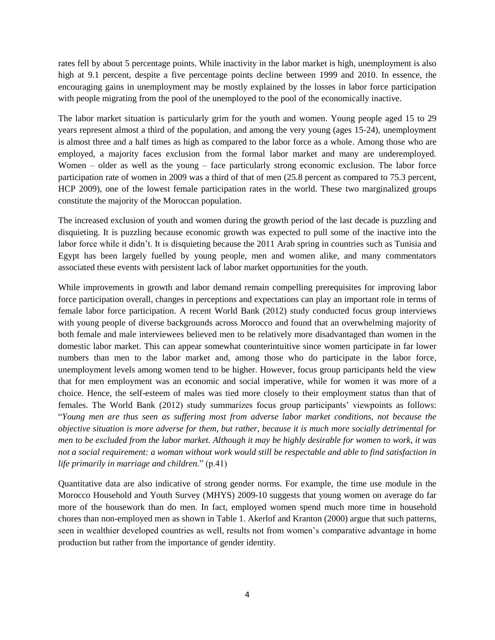rates fell by about 5 percentage points. While inactivity in the labor market is high, unemployment is also high at 9.1 percent, despite a five percentage points decline between 1999 and 2010. In essence, the encouraging gains in unemployment may be mostly explained by the losses in labor force participation with people migrating from the pool of the unemployed to the pool of the economically inactive.

The labor market situation is particularly grim for the youth and women. Young people aged 15 to 29 years represent almost a third of the population, and among the very young (ages 15-24), unemployment is almost three and a half times as high as compared to the labor force as a whole. Among those who are employed, a majority faces exclusion from the formal labor market and many are underemployed. Women – older as well as the young – face particularly strong economic exclusion. The labor force participation rate of women in 2009 was a third of that of men (25.8 percent as compared to 75.3 percent, HCP 2009), one of the lowest female participation rates in the world. These two marginalized groups constitute the majority of the Moroccan population.

The increased exclusion of youth and women during the growth period of the last decade is puzzling and disquieting. It is puzzling because economic growth was expected to pull some of the inactive into the labor force while it didn't. It is disquieting because the 2011 Arab spring in countries such as Tunisia and Egypt has been largely fuelled by young people, men and women alike, and many commentators associated these events with persistent lack of labor market opportunities for the youth.

While improvements in growth and labor demand remain compelling prerequisites for improving labor force participation overall, changes in perceptions and expectations can play an important role in terms of female labor force participation. A recent World Bank (2012) study conducted focus group interviews with young people of diverse backgrounds across Morocco and found that an overwhelming majority of both female and male interviewees believed men to be relatively more disadvantaged than women in the domestic labor market. This can appear somewhat counterintuitive since women participate in far lower numbers than men to the labor market and, among those who do participate in the labor force, unemployment levels among women tend to be higher. However, focus group participants held the view that for men employment was an economic and social imperative, while for women it was more of a choice. Hence, the self-esteem of males was tied more closely to their employment status than that of females. The World Bank (2012) study summarizes focus group participants' viewpoints as follows: "*Young men are thus seen as suffering most from adverse labor market conditions, not because the objective situation is more adverse for them, but rather, because it is much more socially detrimental for men to be excluded from the labor market. Although it may be highly desirable for women to work, it was not a social requirement: a woman without work would still be respectable and able to find satisfaction in life primarily in marriage and children.*" (p.41)

Quantitative data are also indicative of strong gender norms. For example, the time use module in the Morocco Household and Youth Survey (MHYS) 2009-10 suggests that young women on average do far more of the housework than do men. In fact, employed women spend much more time in household chores than non-employed men as shown in Table 1. Akerlof and Kranton (2000) argue that such patterns, seen in wealthier developed countries as well, results not from women"s comparative advantage in home production but rather from the importance of gender identity.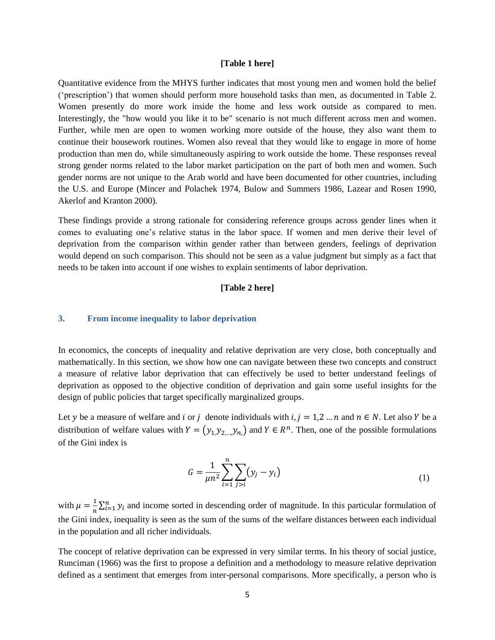#### **[Table 1 here]**

Quantitative evidence from the MHYS further indicates that most young men and women hold the belief ("prescription") that women should perform more household tasks than men, as documented in Table 2. Women presently do more work inside the home and less work outside as compared to men. Interestingly, the "how would you like it to be" scenario is not much different across men and women. Further, while men are open to women working more outside of the house, they also want them to continue their housework routines. Women also reveal that they would like to engage in more of home production than men do, while simultaneously aspiring to work outside the home. These responses reveal strong gender norms related to the labor market participation on the part of both men and women. Such gender norms are not unique to the Arab world and have been documented for other countries, including the U.S. and Europe (Mincer and Polachek 1974, Bulow and Summers 1986, Lazear and Rosen 1990, Akerlof and Kranton 2000).

These findings provide a strong rationale for considering reference groups across gender lines when it comes to evaluating one's relative status in the labor space. If women and men derive their level of deprivation from the comparison within gender rather than between genders, feelings of deprivation would depend on such comparison. This should not be seen as a value judgment but simply as a fact that needs to be taken into account if one wishes to explain sentiments of labor deprivation.

#### **[Table 2 here]**

#### **3. From income inequality to labor deprivation**

In economics, the concepts of inequality and relative deprivation are very close, both conceptually and mathematically. In this section, we show how one can navigate between these two concepts and construct a measure of relative labor deprivation that can effectively be used to better understand feelings of deprivation as opposed to the objective condition of deprivation and gain some useful insights for the design of public policies that target specifically marginalized groups.

Let y be a measure of welfare and i or j denote individuals with  $i, j = 1, 2, ..., n$  and  $n \in N$ . Let also Y be a distribution of welfare values with  $Y = (y_1, y_2, ..., y_n)$  and  $Y \in \mathbb{R}^n$ . Then, one of the possible formulations of the Gini index is

$$
G = \frac{1}{\mu n^2} \sum_{i=1}^{n} \sum_{j>i} (y_j - y_i)
$$
 (1)

with  $\mu = \frac{1}{n}$  $\frac{1}{n}\sum_{i=1}^{n} y_i$  and income sorted in descending order of magnitude. In this particular formulation of the Gini index, inequality is seen as the sum of the sums of the welfare distances between each individual in the population and all richer individuals.

The concept of relative deprivation can be expressed in very similar terms. In his theory of social justice, Runciman (1966) was the first to propose a definition and a methodology to measure relative deprivation defined as a sentiment that emerges from inter-personal comparisons. More specifically, a person who is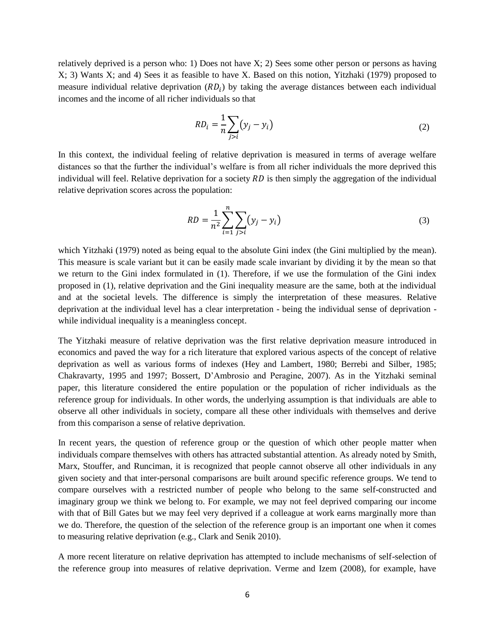relatively deprived is a person who: 1) Does not have X; 2) Sees some other person or persons as having X; 3) Wants X; and 4) Sees it as feasible to have X. Based on this notion, Yitzhaki (1979) proposed to measure individual relative deprivation  $(RD_i)$  by taking the average distances between each individual incomes and the income of all richer individuals so that

$$
RD_i = \frac{1}{n} \sum_{j>i} (y_j - y_i)
$$
 (2)

In this context, the individual feeling of relative deprivation is measured in terms of average welfare distances so that the further the individual"s welfare is from all richer individuals the more deprived this individual will feel. Relative deprivation for a society  $RD$  is then simply the aggregation of the individual relative deprivation scores across the population:

$$
RD = \frac{1}{n^2} \sum_{i=1}^{n} \sum_{j>i} (y_j - y_i)
$$
 (3)

which Yitzhaki (1979) noted as being equal to the absolute Gini index (the Gini multiplied by the mean). This measure is scale variant but it can be easily made scale invariant by dividing it by the mean so that we return to the Gini index formulated in (1). Therefore, if we use the formulation of the Gini index proposed in (1), relative deprivation and the Gini inequality measure are the same, both at the individual and at the societal levels. The difference is simply the interpretation of these measures. Relative deprivation at the individual level has a clear interpretation - being the individual sense of deprivation while individual inequality is a meaningless concept.

The Yitzhaki measure of relative deprivation was the first relative deprivation measure introduced in economics and paved the way for a rich literature that explored various aspects of the concept of relative deprivation as well as various forms of indexes (Hey and Lambert, 1980; Berrebi and Silber, 1985; Chakravarty, 1995 and 1997; Bossert, D"Ambrosio and Peragine, 2007). As in the Yitzhaki seminal paper, this literature considered the entire population or the population of richer individuals as the reference group for individuals. In other words, the underlying assumption is that individuals are able to observe all other individuals in society, compare all these other individuals with themselves and derive from this comparison a sense of relative deprivation.

In recent years, the question of reference group or the question of which other people matter when individuals compare themselves with others has attracted substantial attention. As already noted by Smith, Marx, Stouffer, and Runciman, it is recognized that people cannot observe all other individuals in any given society and that inter-personal comparisons are built around specific reference groups. We tend to compare ourselves with a restricted number of people who belong to the same self-constructed and imaginary group we think we belong to. For example, we may not feel deprived comparing our income with that of Bill Gates but we may feel very deprived if a colleague at work earns marginally more than we do. Therefore, the question of the selection of the reference group is an important one when it comes to measuring relative deprivation (e.g., Clark and Senik 2010).

A more recent literature on relative deprivation has attempted to include mechanisms of self-selection of the reference group into measures of relative deprivation. Verme and Izem (2008), for example, have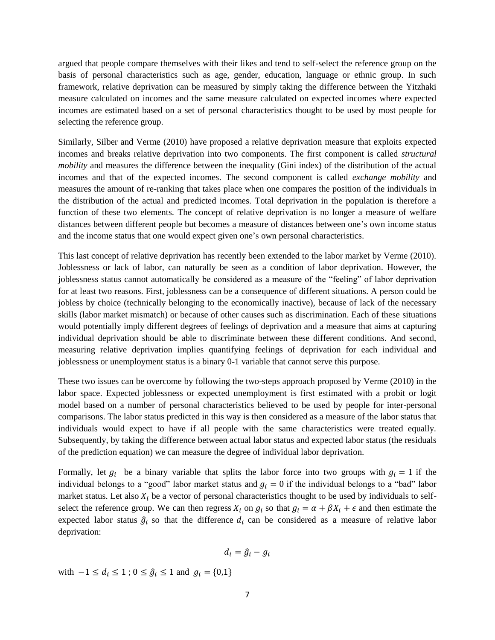argued that people compare themselves with their likes and tend to self-select the reference group on the basis of personal characteristics such as age, gender, education, language or ethnic group. In such framework, relative deprivation can be measured by simply taking the difference between the Yitzhaki measure calculated on incomes and the same measure calculated on expected incomes where expected incomes are estimated based on a set of personal characteristics thought to be used by most people for selecting the reference group.

Similarly, Silber and Verme (2010) have proposed a relative deprivation measure that exploits expected incomes and breaks relative deprivation into two components. The first component is called *structural mobility* and measures the difference between the inequality (Gini index) of the distribution of the actual incomes and that of the expected incomes. The second component is called *exchange mobility* and measures the amount of re-ranking that takes place when one compares the position of the individuals in the distribution of the actual and predicted incomes. Total deprivation in the population is therefore a function of these two elements. The concept of relative deprivation is no longer a measure of welfare distances between different people but becomes a measure of distances between one"s own income status and the income status that one would expect given one"s own personal characteristics.

This last concept of relative deprivation has recently been extended to the labor market by Verme (2010). Joblessness or lack of labor, can naturally be seen as a condition of labor deprivation. However, the joblessness status cannot automatically be considered as a measure of the "feeling" of labor deprivation for at least two reasons. First, joblessness can be a consequence of different situations. A person could be jobless by choice (technically belonging to the economically inactive), because of lack of the necessary skills (labor market mismatch) or because of other causes such as discrimination. Each of these situations would potentially imply different degrees of feelings of deprivation and a measure that aims at capturing individual deprivation should be able to discriminate between these different conditions. And second, measuring relative deprivation implies quantifying feelings of deprivation for each individual and joblessness or unemployment status is a binary 0-1 variable that cannot serve this purpose.

These two issues can be overcome by following the two-steps approach proposed by Verme (2010) in the labor space. Expected joblessness or expected unemployment is first estimated with a probit or logit model based on a number of personal characteristics believed to be used by people for inter-personal comparisons. The labor status predicted in this way is then considered as a measure of the labor status that individuals would expect to have if all people with the same characteristics were treated equally. Subsequently, by taking the difference between actual labor status and expected labor status (the residuals of the prediction equation) we can measure the degree of individual labor deprivation.

Formally, let  $g_i$  be a binary variable that splits the labor force into two groups with  $g_i = 1$  if the individual belongs to a "good" labor market status and  $g_i = 0$  if the individual belongs to a "bad" labor market status. Let also  $X_i$  be a vector of personal characteristics thought to be used by individuals to selfselect the reference group. We can then regress  $X_i$  on  $g_i$  so that  $g_i = \alpha + \beta X_i + \epsilon$  and then estimate the expected labor status  $\hat{g}_i$  so that the difference  $d_i$  can be considered as a measure of relative labor deprivation:

$$
d_i = \hat{g}_i - g_i
$$

with  $-1 \le d_i \le 1$ ;  $0 \le \hat{g}_i \le 1$  and  $g_i = \{0,1\}$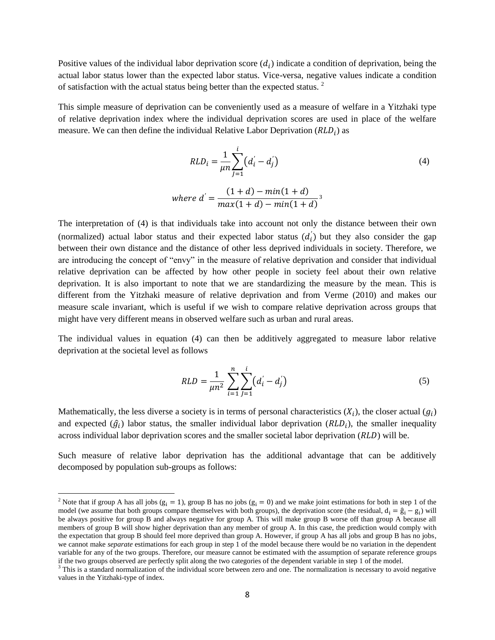Positive values of the individual labor deprivation score  $(d_i)$  indicate a condition of deprivation, being the actual labor status lower than the expected labor status. Vice-versa, negative values indicate a condition of satisfaction with the actual status being better than the expected status.<sup>2</sup>

This simple measure of deprivation can be conveniently used as a measure of welfare in a Yitzhaki type of relative deprivation index where the individual deprivation scores are used in place of the welfare measure. We can then define the individual Relative Labor Deprivation  $(RLD_i)$  as

$$
RLD_i = \frac{1}{\mu n} \sum_{j=1}^{i} (d'_i - d'_j)
$$
\n
$$
where d' = \frac{(1+d) - \min(1+d)}{\max(1+d) - \min(1+d)}^{3}
$$
\n(4)

The interpretation of (4) is that individuals take into account not only the distance between their own (normalized) actual labor status and their expected labor status  $(d<sub>i</sub>)$  but they also consider the gap between their own distance and the distance of other less deprived individuals in society. Therefore, we are introducing the concept of "envy" in the measure of relative deprivation and consider that individual relative deprivation can be affected by how other people in society feel about their own relative deprivation. It is also important to note that we are standardizing the measure by the mean. This is different from the Yitzhaki measure of relative deprivation and from Verme (2010) and makes our measure scale invariant, which is useful if we wish to compare relative deprivation across groups that might have very different means in observed welfare such as urban and rural areas.

The individual values in equation (4) can then be additively aggregated to measure labor relative deprivation at the societal level as follows

$$
RLD = \frac{1}{\mu n^2} \sum_{i=1}^{n} \sum_{j=1}^{i} (d'_i - d'_j)
$$
 (5)

Mathematically, the less diverse a society is in terms of personal characteristics  $(X_i)$ , the closer actual  $(g_i)$ and expected  $(\hat{g}_i)$  labor status, the smaller individual labor deprivation  $(RLD_i)$ , the smaller inequality across individual labor deprivation scores and the smaller societal labor deprivation  $(RLD)$  will be.

Such measure of relative labor deprivation has the additional advantage that can be additively decomposed by population sub-groups as follows:

 $\overline{a}$ 

<sup>&</sup>lt;sup>2</sup> Note that if group A has all jobs ( $g_i = 1$ ), group B has no jobs ( $g_i = 0$ ) and we make joint estimations for both in step 1 of the model (we assume that both groups compare themselves with both groups), the deprivation score (the residual,  $d_i = \hat{g}_i - g_i$ ) will be always positive for group B and always negative for group A. This will make group B worse off than group A because all members of group B will show higher deprivation than any member of group A. In this case, the prediction would comply with the expectation that group B should feel more deprived than group A. However, if group A has all jobs and group B has no jobs, we cannot make *separate* estimations for each group in step 1 of the model because there would be no variation in the dependent variable for any of the two groups. Therefore, our measure cannot be estimated with the assumption of separate reference groups if the two groups observed are perfectly split along the two categories of the dependent variable in step 1 of the model.

<sup>&</sup>lt;sup>3</sup> This is a standard normalization of the individual score between zero and one. The normalization is necessary to avoid negative values in the Yitzhaki-type of index.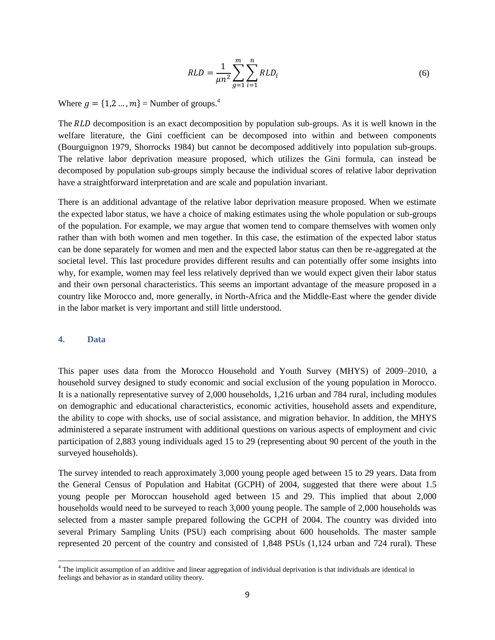$$
RLD = \frac{1}{\mu n^2} \sum_{g=1}^{m} \sum_{i=1}^{n} RLD_i
$$
 (6)

Where  $g = \{1, 2, ..., m\}$  = Number of groups.<sup>4</sup>

The RLD decomposition is an exact decomposition by population sub-groups. As it is well known in the welfare literature, the Gini coefficient can be decomposed into within and between components (Bourguignon 1979, Shorrocks 1984) but cannot be decomposed additively into population sub-groups. The relative labor deprivation measure proposed, which utilizes the Gini formula, can instead be decomposed by population sub-groups simply because the individual scores of relative labor deprivation have a straightforward interpretation and are scale and population invariant.

There is an additional advantage of the relative labor deprivation measure proposed. When we estimate the expected labor status, we have a choice of making estimates using the whole population or sub-groups of the population. For example, we may argue that women tend to compare themselves with women only rather than with both women and men together. In this case, the estimation of the expected labor status can be done separately for women and men and the expected labor status can then be re-aggregated at the societal level. This last procedure provides different results and can potentially offer some insights into why, for example, women may feel less relatively deprived than we would expect given their labor status and their own personal characteristics. This seems an important advantage of the measure proposed in a country like Morocco and, more generally, in North-Africa and the Middle-East where the gender divide in the labor market is very important and still little understood.

#### **4. Data**

 $\overline{a}$ 

This paper uses data from the Morocco Household and Youth Survey (MHYS) of 2009–2010, a household survey designed to study economic and social exclusion of the young population in Morocco. It is a nationally representative survey of 2,000 households, 1,216 urban and 784 rural, including modules on demographic and educational characteristics, economic activities, household assets and expenditure, the ability to cope with shocks, use of social assistance, and migration behavior. In addition, the MHYS administered a separate instrument with additional questions on various aspects of employment and civic participation of 2,883 young individuals aged 15 to 29 (representing about 90 percent of the youth in the surveyed households).

The survey intended to reach approximately 3,000 young people aged between 15 to 29 years. Data from the General Census of Population and Habitat (GCPH) of 2004, suggested that there were about 1.5 young people per Moroccan household aged between 15 and 29. This implied that about 2,000 households would need to be surveyed to reach 3,000 young people. The sample of 2,000 households was selected from a master sample prepared following the GCPH of 2004. The country was divided into several Primary Sampling Units (PSU) each comprising about 600 households. The master sample represented 20 percent of the country and consisted of 1,848 PSUs (1,124 urban and 724 rural). These

 $4$  The implicit assumption of an additive and linear aggregation of individual deprivation is that individuals are identical in feelings and behavior as in standard utility theory.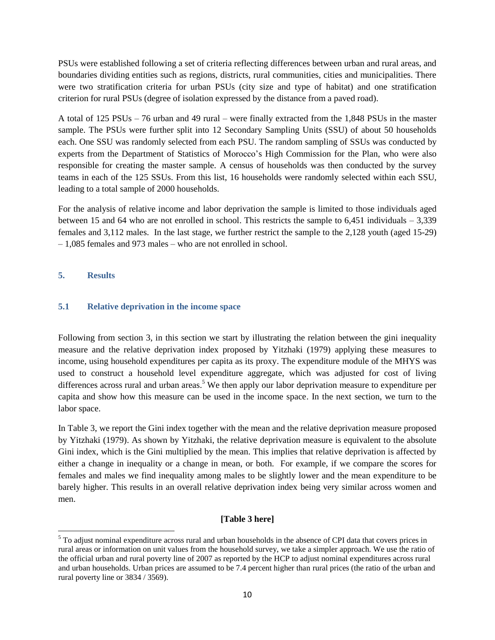PSUs were established following a set of criteria reflecting differences between urban and rural areas, and boundaries dividing entities such as regions, districts, rural communities, cities and municipalities. There were two stratification criteria for urban PSUs (city size and type of habitat) and one stratification criterion for rural PSUs (degree of isolation expressed by the distance from a paved road).

A total of 125 PSUs – 76 urban and 49 rural – were finally extracted from the 1,848 PSUs in the master sample. The PSUs were further split into 12 Secondary Sampling Units (SSU) of about 50 households each. One SSU was randomly selected from each PSU. The random sampling of SSUs was conducted by experts from the Department of Statistics of Morocco"s High Commission for the Plan, who were also responsible for creating the master sample. A census of households was then conducted by the survey teams in each of the 125 SSUs. From this list, 16 households were randomly selected within each SSU, leading to a total sample of 2000 households.

For the analysis of relative income and labor deprivation the sample is limited to those individuals aged between 15 and 64 who are not enrolled in school. This restricts the sample to 6,451 individuals – 3,339 females and 3,112 males. In the last stage, we further restrict the sample to the 2,128 youth (aged 15-29) – 1,085 females and 973 males – who are not enrolled in school.

## **5. Results**

 $\overline{a}$ 

### **5.1 Relative deprivation in the income space**

Following from section 3, in this section we start by illustrating the relation between the gini inequality measure and the relative deprivation index proposed by Yitzhaki (1979) applying these measures to income, using household expenditures per capita as its proxy. The expenditure module of the MHYS was used to construct a household level expenditure aggregate, which was adjusted for cost of living differences across rural and urban areas.<sup>5</sup> We then apply our labor deprivation measure to expenditure per capita and show how this measure can be used in the income space. In the next section, we turn to the labor space.

In Table 3, we report the Gini index together with the mean and the relative deprivation measure proposed by Yitzhaki (1979). As shown by Yitzhaki, the relative deprivation measure is equivalent to the absolute Gini index, which is the Gini multiplied by the mean. This implies that relative deprivation is affected by either a change in inequality or a change in mean, or both. For example, if we compare the scores for females and males we find inequality among males to be slightly lower and the mean expenditure to be barely higher. This results in an overall relative deprivation index being very similar across women and men.

## **[Table 3 here]**

 $<sup>5</sup>$  To adjust nominal expenditure across rural and urban households in the absence of CPI data that covers prices in</sup> rural areas or information on unit values from the household survey, we take a simpler approach. We use the ratio of the official urban and rural poverty line of 2007 as reported by the HCP to adjust nominal expenditures across rural and urban households. Urban prices are assumed to be 7.4 percent higher than rural prices (the ratio of the urban and rural poverty line or 3834 / 3569).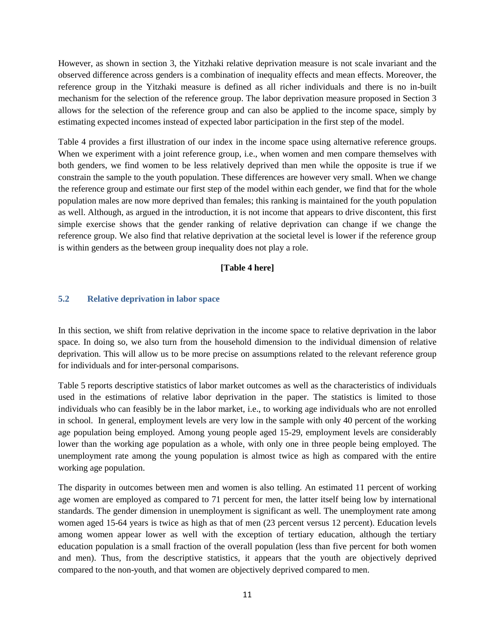However, as shown in section 3, the Yitzhaki relative deprivation measure is not scale invariant and the observed difference across genders is a combination of inequality effects and mean effects. Moreover, the reference group in the Yitzhaki measure is defined as all richer individuals and there is no in-built mechanism for the selection of the reference group. The labor deprivation measure proposed in Section 3 allows for the selection of the reference group and can also be applied to the income space, simply by estimating expected incomes instead of expected labor participation in the first step of the model.

Table 4 provides a first illustration of our index in the income space using alternative reference groups. When we experiment with a joint reference group, *i.e.*, when women and men compare themselves with both genders, we find women to be less relatively deprived than men while the opposite is true if we constrain the sample to the youth population. These differences are however very small. When we change the reference group and estimate our first step of the model within each gender, we find that for the whole population males are now more deprived than females; this ranking is maintained for the youth population as well. Although, as argued in the introduction, it is not income that appears to drive discontent, this first simple exercise shows that the gender ranking of relative deprivation can change if we change the reference group. We also find that relative deprivation at the societal level is lower if the reference group is within genders as the between group inequality does not play a role.

#### **[Table 4 here]**

### **5.2 Relative deprivation in labor space**

In this section, we shift from relative deprivation in the income space to relative deprivation in the labor space. In doing so, we also turn from the household dimension to the individual dimension of relative deprivation. This will allow us to be more precise on assumptions related to the relevant reference group for individuals and for inter-personal comparisons.

Table 5 reports descriptive statistics of labor market outcomes as well as the characteristics of individuals used in the estimations of relative labor deprivation in the paper. The statistics is limited to those individuals who can feasibly be in the labor market, i.e., to working age individuals who are not enrolled in school. In general, employment levels are very low in the sample with only 40 percent of the working age population being employed. Among young people aged 15-29, employment levels are considerably lower than the working age population as a whole, with only one in three people being employed. The unemployment rate among the young population is almost twice as high as compared with the entire working age population.

The disparity in outcomes between men and women is also telling. An estimated 11 percent of working age women are employed as compared to 71 percent for men, the latter itself being low by international standards. The gender dimension in unemployment is significant as well. The unemployment rate among women aged 15-64 years is twice as high as that of men (23 percent versus 12 percent). Education levels among women appear lower as well with the exception of tertiary education, although the tertiary education population is a small fraction of the overall population (less than five percent for both women and men). Thus, from the descriptive statistics, it appears that the youth are objectively deprived compared to the non-youth, and that women are objectively deprived compared to men.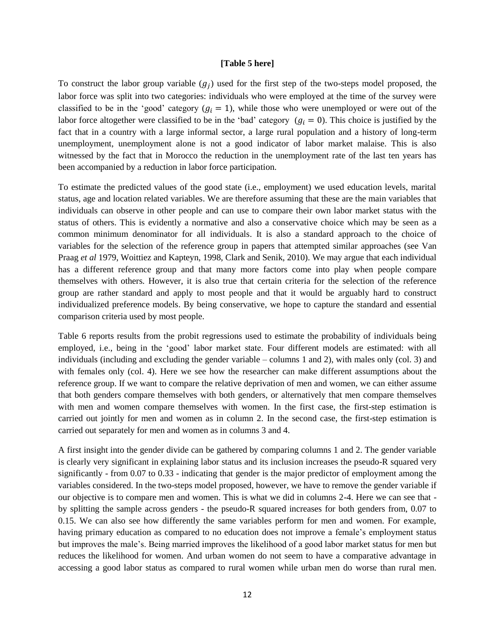#### **[Table 5 here]**

To construct the labor group variable  $(g_i)$  used for the first step of the two-steps model proposed, the labor force was split into two categories: individuals who were employed at the time of the survey were classified to be in the 'good' category  $(g_i = 1)$ , while those who were unemployed or were out of the labor force altogether were classified to be in the 'bad' category  $(q_i = 0)$ . This choice is justified by the fact that in a country with a large informal sector, a large rural population and a history of long-term unemployment, unemployment alone is not a good indicator of labor market malaise. This is also witnessed by the fact that in Morocco the reduction in the unemployment rate of the last ten years has been accompanied by a reduction in labor force participation.

To estimate the predicted values of the good state (i.e., employment) we used education levels, marital status, age and location related variables. We are therefore assuming that these are the main variables that individuals can observe in other people and can use to compare their own labor market status with the status of others. This is evidently a normative and also a conservative choice which may be seen as a common minimum denominator for all individuals. It is also a standard approach to the choice of variables for the selection of the reference group in papers that attempted similar approaches (see Van Praag *et al* 1979, Woittiez and Kapteyn, 1998, Clark and Senik, 2010). We may argue that each individual has a different reference group and that many more factors come into play when people compare themselves with others. However, it is also true that certain criteria for the selection of the reference group are rather standard and apply to most people and that it would be arguably hard to construct individualized preference models. By being conservative, we hope to capture the standard and essential comparison criteria used by most people.

Table 6 reports results from the probit regressions used to estimate the probability of individuals being employed, i.e., being in the "good" labor market state. Four different models are estimated: with all individuals (including and excluding the gender variable – columns 1 and 2), with males only (col. 3) and with females only (col. 4). Here we see how the researcher can make different assumptions about the reference group. If we want to compare the relative deprivation of men and women, we can either assume that both genders compare themselves with both genders, or alternatively that men compare themselves with men and women compare themselves with women. In the first case, the first-step estimation is carried out jointly for men and women as in column 2. In the second case, the first-step estimation is carried out separately for men and women as in columns 3 and 4.

A first insight into the gender divide can be gathered by comparing columns 1 and 2. The gender variable is clearly very significant in explaining labor status and its inclusion increases the pseudo-R squared very significantly - from 0.07 to 0.33 - indicating that gender is the major predictor of employment among the variables considered. In the two-steps model proposed, however, we have to remove the gender variable if our objective is to compare men and women. This is what we did in columns 2-4. Here we can see that by splitting the sample across genders - the pseudo-R squared increases for both genders from, 0.07 to 0.15. We can also see how differently the same variables perform for men and women. For example, having primary education as compared to no education does not improve a female"s employment status but improves the male"s. Being married improves the likelihood of a good labor market status for men but reduces the likelihood for women. And urban women do not seem to have a comparative advantage in accessing a good labor status as compared to rural women while urban men do worse than rural men.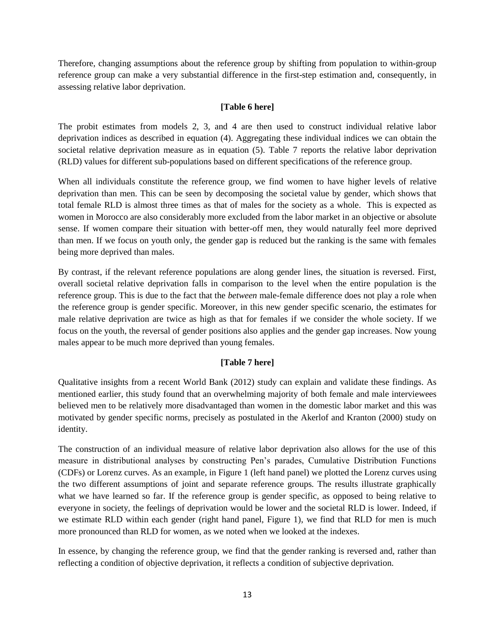Therefore, changing assumptions about the reference group by shifting from population to within-group reference group can make a very substantial difference in the first-step estimation and, consequently, in assessing relative labor deprivation.

## **[Table 6 here]**

The probit estimates from models 2, 3, and 4 are then used to construct individual relative labor deprivation indices as described in equation (4). Aggregating these individual indices we can obtain the societal relative deprivation measure as in equation (5). Table 7 reports the relative labor deprivation (RLD) values for different sub-populations based on different specifications of the reference group.

When all individuals constitute the reference group, we find women to have higher levels of relative deprivation than men. This can be seen by decomposing the societal value by gender, which shows that total female RLD is almost three times as that of males for the society as a whole. This is expected as women in Morocco are also considerably more excluded from the labor market in an objective or absolute sense. If women compare their situation with better-off men, they would naturally feel more deprived than men. If we focus on youth only, the gender gap is reduced but the ranking is the same with females being more deprived than males.

By contrast, if the relevant reference populations are along gender lines, the situation is reversed. First, overall societal relative deprivation falls in comparison to the level when the entire population is the reference group. This is due to the fact that the *between* male-female difference does not play a role when the reference group is gender specific. Moreover, in this new gender specific scenario, the estimates for male relative deprivation are twice as high as that for females if we consider the whole society. If we focus on the youth, the reversal of gender positions also applies and the gender gap increases. Now young males appear to be much more deprived than young females.

## **[Table 7 here]**

Qualitative insights from a recent World Bank (2012) study can explain and validate these findings. As mentioned earlier, this study found that an overwhelming majority of both female and male interviewees believed men to be relatively more disadvantaged than women in the domestic labor market and this was motivated by gender specific norms, precisely as postulated in the Akerlof and Kranton (2000) study on identity.

The construction of an individual measure of relative labor deprivation also allows for the use of this measure in distributional analyses by constructing Pen"s parades, Cumulative Distribution Functions (CDFs) or Lorenz curves. As an example, in Figure 1 (left hand panel) we plotted the Lorenz curves using the two different assumptions of joint and separate reference groups. The results illustrate graphically what we have learned so far. If the reference group is gender specific, as opposed to being relative to everyone in society, the feelings of deprivation would be lower and the societal RLD is lower. Indeed, if we estimate RLD within each gender (right hand panel, Figure 1), we find that RLD for men is much more pronounced than RLD for women, as we noted when we looked at the indexes.

In essence, by changing the reference group, we find that the gender ranking is reversed and, rather than reflecting a condition of objective deprivation, it reflects a condition of subjective deprivation.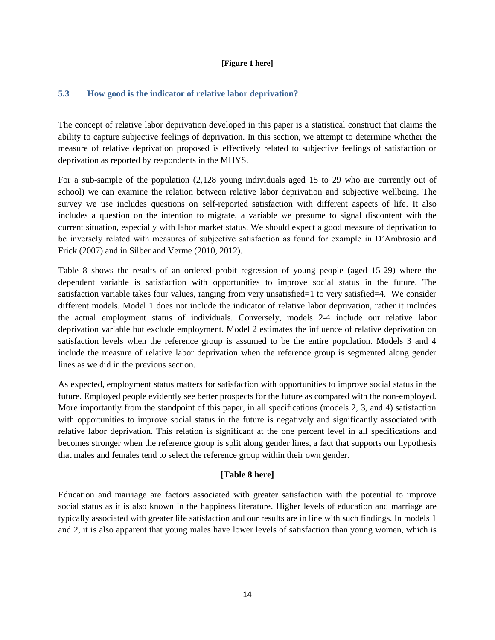#### **[Figure 1 here]**

### **5.3 How good is the indicator of relative labor deprivation?**

The concept of relative labor deprivation developed in this paper is a statistical construct that claims the ability to capture subjective feelings of deprivation. In this section, we attempt to determine whether the measure of relative deprivation proposed is effectively related to subjective feelings of satisfaction or deprivation as reported by respondents in the MHYS.

For a sub-sample of the population (2,128 young individuals aged 15 to 29 who are currently out of school) we can examine the relation between relative labor deprivation and subjective wellbeing. The survey we use includes questions on self-reported satisfaction with different aspects of life. It also includes a question on the intention to migrate, a variable we presume to signal discontent with the current situation, especially with labor market status. We should expect a good measure of deprivation to be inversely related with measures of subjective satisfaction as found for example in D"Ambrosio and Frick (2007) and in Silber and Verme (2010, 2012).

Table 8 shows the results of an ordered probit regression of young people (aged 15-29) where the dependent variable is satisfaction with opportunities to improve social status in the future. The satisfaction variable takes four values, ranging from very unsatisfied=1 to very satisfied=4. We consider different models. Model 1 does not include the indicator of relative labor deprivation, rather it includes the actual employment status of individuals. Conversely, models 2-4 include our relative labor deprivation variable but exclude employment. Model 2 estimates the influence of relative deprivation on satisfaction levels when the reference group is assumed to be the entire population. Models 3 and 4 include the measure of relative labor deprivation when the reference group is segmented along gender lines as we did in the previous section.

As expected, employment status matters for satisfaction with opportunities to improve social status in the future. Employed people evidently see better prospects for the future as compared with the non-employed. More importantly from the standpoint of this paper, in all specifications (models 2, 3, and 4) satisfaction with opportunities to improve social status in the future is negatively and significantly associated with relative labor deprivation. This relation is significant at the one percent level in all specifications and becomes stronger when the reference group is split along gender lines, a fact that supports our hypothesis that males and females tend to select the reference group within their own gender.

### **[Table 8 here]**

Education and marriage are factors associated with greater satisfaction with the potential to improve social status as it is also known in the happiness literature. Higher levels of education and marriage are typically associated with greater life satisfaction and our results are in line with such findings. In models 1 and 2, it is also apparent that young males have lower levels of satisfaction than young women, which is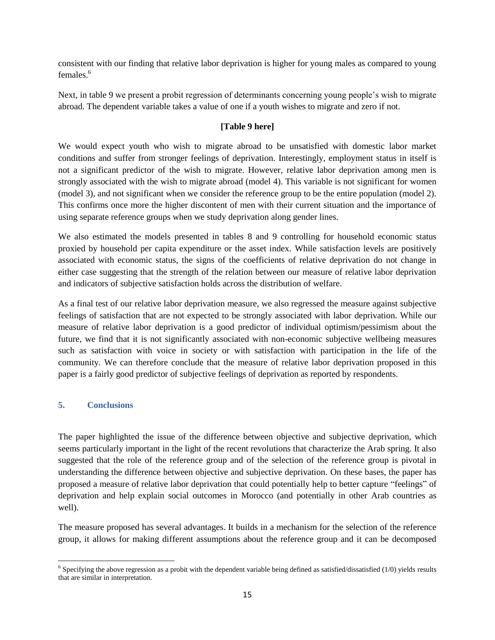consistent with our finding that relative labor deprivation is higher for young males as compared to young females.<sup>6</sup>

Next, in table 9 we present a probit regression of determinants concerning young people"s wish to migrate abroad. The dependent variable takes a value of one if a youth wishes to migrate and zero if not.

# **[Table 9 here]**

We would expect youth who wish to migrate abroad to be unsatisfied with domestic labor market conditions and suffer from stronger feelings of deprivation. Interestingly, employment status in itself is not a significant predictor of the wish to migrate. However, relative labor deprivation among men is strongly associated with the wish to migrate abroad (model 4). This variable is not significant for women (model 3), and not significant when we consider the reference group to be the entire population (model 2). This confirms once more the higher discontent of men with their current situation and the importance of using separate reference groups when we study deprivation along gender lines.

We also estimated the models presented in tables 8 and 9 controlling for household economic status proxied by household per capita expenditure or the asset index. While satisfaction levels are positively associated with economic status, the signs of the coefficients of relative deprivation do not change in either case suggesting that the strength of the relation between our measure of relative labor deprivation and indicators of subjective satisfaction holds across the distribution of welfare.

As a final test of our relative labor deprivation measure, we also regressed the measure against subjective feelings of satisfaction that are not expected to be strongly associated with labor deprivation. While our measure of relative labor deprivation is a good predictor of individual optimism/pessimism about the future, we find that it is not significantly associated with non-economic subjective wellbeing measures such as satisfaction with voice in society or with satisfaction with participation in the life of the community. We can therefore conclude that the measure of relative labor deprivation proposed in this paper is a fairly good predictor of subjective feelings of deprivation as reported by respondents.

## **5. Conclusions**

The paper highlighted the issue of the difference between objective and subjective deprivation, which seems particularly important in the light of the recent revolutions that characterize the Arab spring. It also suggested that the role of the reference group and of the selection of the reference group is pivotal in understanding the difference between objective and subjective deprivation. On these bases, the paper has proposed a measure of relative labor deprivation that could potentially help to better capture "feelings" of deprivation and help explain social outcomes in Morocco (and potentially in other Arab countries as well).

The measure proposed has several advantages. It builds in a mechanism for the selection of the reference group, it allows for making different assumptions about the reference group and it can be decomposed

<sup>&</sup>lt;sup>6</sup> Specifying the above regression as a probit with the dependent variable being defined as satisfied/dissatisfied (1/0) yields results that are similar in interpretation.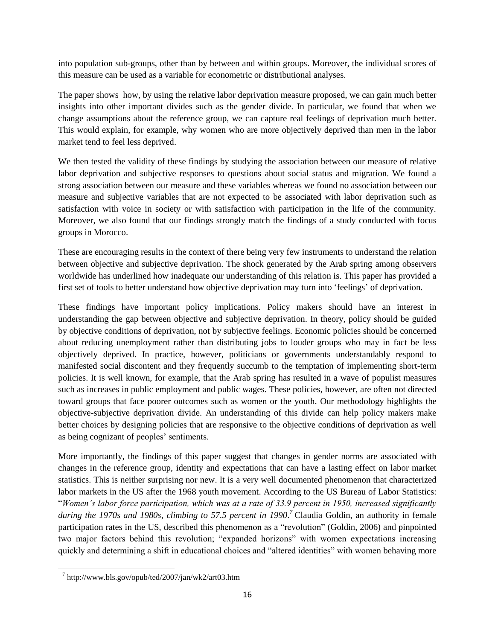into population sub-groups, other than by between and within groups. Moreover, the individual scores of this measure can be used as a variable for econometric or distributional analyses.

The paper shows how, by using the relative labor deprivation measure proposed, we can gain much better insights into other important divides such as the gender divide. In particular, we found that when we change assumptions about the reference group, we can capture real feelings of deprivation much better. This would explain, for example, why women who are more objectively deprived than men in the labor market tend to feel less deprived.

We then tested the validity of these findings by studying the association between our measure of relative labor deprivation and subjective responses to questions about social status and migration. We found a strong association between our measure and these variables whereas we found no association between our measure and subjective variables that are not expected to be associated with labor deprivation such as satisfaction with voice in society or with satisfaction with participation in the life of the community. Moreover, we also found that our findings strongly match the findings of a study conducted with focus groups in Morocco.

These are encouraging results in the context of there being very few instruments to understand the relation between objective and subjective deprivation. The shock generated by the Arab spring among observers worldwide has underlined how inadequate our understanding of this relation is. This paper has provided a first set of tools to better understand how objective deprivation may turn into "feelings" of deprivation.

These findings have important policy implications. Policy makers should have an interest in understanding the gap between objective and subjective deprivation. In theory, policy should be guided by objective conditions of deprivation, not by subjective feelings. Economic policies should be concerned about reducing unemployment rather than distributing jobs to louder groups who may in fact be less objectively deprived. In practice, however, politicians or governments understandably respond to manifested social discontent and they frequently succumb to the temptation of implementing short-term policies. It is well known, for example, that the Arab spring has resulted in a wave of populist measures such as increases in public employment and public wages. These policies, however, are often not directed toward groups that face poorer outcomes such as women or the youth. Our methodology highlights the objective-subjective deprivation divide. An understanding of this divide can help policy makers make better choices by designing policies that are responsive to the objective conditions of deprivation as well as being cognizant of peoples' sentiments.

More importantly, the findings of this paper suggest that changes in gender norms are associated with changes in the reference group, identity and expectations that can have a lasting effect on labor market statistics. This is neither surprising nor new. It is a very well documented phenomenon that characterized labor markets in the US after the 1968 youth movement. According to the US Bureau of Labor Statistics: "*Women"s labor force participation, which was at a rate of 33.9 percent in 1950, increased significantly*  during the 1970s and 1980s, climbing to 57.5 percent in 1990.<sup>7</sup> Claudia Goldin, an authority in female participation rates in the US, described this phenomenon as a "revolution" (Goldin, 2006) and pinpointed two major factors behind this revolution; "expanded horizons" with women expectations increasing quickly and determining a shift in educational choices and "altered identities" with women behaving more

 $\overline{\phantom{a}}$ 

 $^7$  http://www.bls.gov/opub/ted/2007/jan/wk2/art03.htm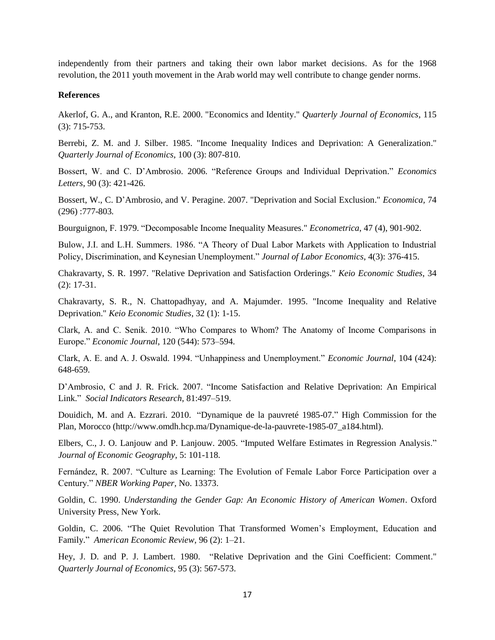independently from their partners and taking their own labor market decisions. As for the 1968 revolution, the 2011 youth movement in the Arab world may well contribute to change gender norms.

#### **References**

Akerlof, G. A., and Kranton, R.E. 2000. "Economics and Identity." *Quarterly Journal of Economics*, 115 (3): 715-753.

Berrebi, Z. M. and J. Silber. 1985. "Income Inequality Indices and Deprivation: A Generalization." *Quarterly Journal of Economics*, 100 (3): 807-810.

Bossert, W. and C. D"Ambrosio. 2006. "Reference Groups and Individual Deprivation." *Economics Letters*, 90 (3): 421-426.

Bossert, W., C. D"Ambrosio, and V. Peragine. 2007. "Deprivation and Social Exclusion." *Economica,* 74 (296) :777-803*.*

Bourguignon, F. 1979. "Decomposable Income Inequality Measures." *Econometrica*, 47 (4), 901-902.

Bulow, J.I. and L.H. Summers. 1986. "A Theory of Dual Labor Markets with Application to Industrial Policy, Discrimination, and Keynesian Unemployment." *Journal of Labor Economics*, 4(3): 376-415.

Chakravarty, S. R. 1997. "Relative Deprivation and Satisfaction Orderings." *Keio Economic Studies*, 34 (2): 17-31.

Chakravarty, S. R., N. Chattopadhyay, and A. Majumder. 1995. "Income Inequality and Relative Deprivation." *Keio Economic Studies*, 32 (1): 1-15.

Clark, A. and C. Senik. 2010. "Who Compares to Whom? The Anatomy of Income Comparisons in Europe." *Economic Journal*, 120 (544): 573–594.

Clark, A. E. and A. J. Oswald. 1994. "Unhappiness and Unemployment." *Economic Journal*, 104 (424): 648-659.

D"Ambrosio, C and J. R. Frick. 2007. "Income Satisfaction and Relative Deprivation: An Empirical Link." *Social Indicators Research*, 81:497–519.

Douidich, M. and A. Ezzrari. 2010. "Dynamique de la pauvreté 1985-07." High Commission for the Plan, Morocco (http://www.omdh.hcp.ma/Dynamique-de-la-pauvrete-1985-07\_a184.html).

Elbers, C., J. O. Lanjouw and P. Lanjouw. 2005. "Imputed Welfare Estimates in Regression Analysis." *Journal of Economic Geography*, 5: 101-118.

Fernández, R. 2007. "Culture as Learning: The Evolution of Female Labor Force Participation over a Century." *NBER Working Paper,* No. 13373.

Goldin, C. 1990. *Understanding the Gender Gap: An Economic History of American Women*. Oxford University Press, New York.

Goldin, C. 2006. "The Quiet Revolution That Transformed Women"s Employment, Education and Family." *American Economic Review*, 96 (2): 1–21.

Hey, J. D. and P. J. Lambert. 1980. "Relative Deprivation and the Gini Coefficient: Comment." *Quarterly Journal of Economics*, 95 (3): 567-573.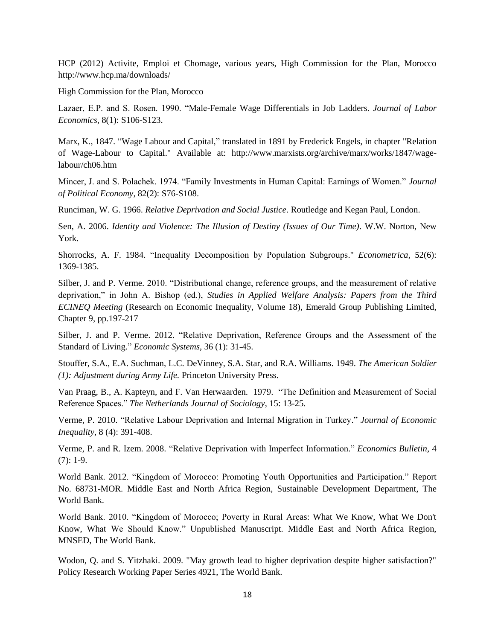HCP (2012) Activite, Emploi et Chomage, various years, High Commission for the Plan, Morocco http://www.hcp.ma/downloads/

High Commission for the Plan, Morocco

Lazaer, E.P. and S. Rosen. 1990. "Male-Female Wage Differentials in Job Ladders. *Journal of Labor Economics*, 8(1): S106-S123.

Marx, K., 1847. "Wage Labour and Capital," translated in 1891 by Frederick Engels, in chapter "Relation of Wage-Labour to Capital." Available at: [http://www.marxists.org/archive/marx/works/1847/wage](http://www.marxists.org/archive/marx/works/1847/wage-labour/ch06.htm)[labour/ch06.htm](http://www.marxists.org/archive/marx/works/1847/wage-labour/ch06.htm)

Mincer, J. and S. Polachek. 1974. "Family Investments in Human Capital: Earnings of Women." *Journal of Political Economy*, 82(2): S76-S108.

Runciman, W. G. 1966. *Relative Deprivation and Social Justice*. Routledge and Kegan Paul, London.

Sen, A. 2006. *Identity and Violence: The Illusion of Destiny (Issues of Our Time)*. W.W. Norton, New York.

Shorrocks, A. F. 1984. "Inequality Decomposition by Population Subgroups." *Econometrica*, 52(6): 1369-1385.

Silber, J. and P. Verme. 2010. "Distributional change, reference groups, and the measurement of relative deprivation," in John A. Bishop (ed.), *Studies in Applied Welfare Analysis: Papers from the Third ECINEQ Meeting* (Research on Economic Inequality, Volume 18), Emerald Group Publishing Limited, Chapter 9, pp.197-217

Silber, J. and P. Verme. 2012. "Relative Deprivation, Reference Groups and the Assessment of the Standard of Living." *Economic Systems*, 36 (1): 31-45.

Stouffer, S.A., E.A. Suchman, L.C. DeVinney, S.A. Star, and R.A. Williams. 1949. *The American Soldier (1): Adjustment during Army Life.* Princeton University Press.

Van Praag, B., A. Kapteyn, and F. Van Herwaarden. 1979. "The Definition and Measurement of Social Reference Spaces." *The Netherlands Journal of Sociology*, 15: 13-25.

Verme, P. 2010. "Relative Labour Deprivation and Internal Migration in Turkey." *Journal of Economic Inequality*, 8 (4): 391-408.

Verme, P. and R. Izem. 2008. "Relative Deprivation with Imperfect Information." *Economics Bulletin*, 4  $(7): 1-9.$ 

World Bank. 2012. "Kingdom of Morocco: Promoting Youth Opportunities and Participation." Report No. 68731-MOR. Middle East and North Africa Region, Sustainable Development Department, The World Bank.

World Bank. 2010. "Kingdom of Morocco; Poverty in Rural Areas: What We Know, What We Don't Know, What We Should Know." Unpublished Manuscript. Middle East and North Africa Region, MNSED, The World Bank.

Wodon, Q. and S. Yitzhaki. 2009. "May growth lead to higher deprivation despite higher satisfaction?" Policy Research Working Paper Series 4921, The World Bank.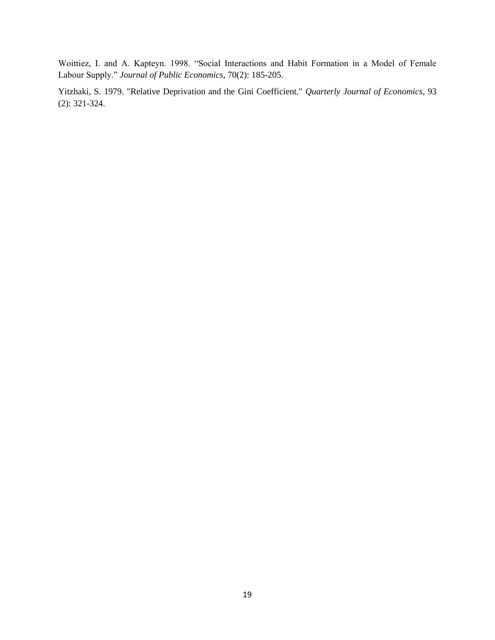Woittiez, I. and A. Kapteyn. 1998. "Social Interactions and Habit Formation in a Model of Female Labour Supply." *Journal of Public Economics*, 70(2): 185-205.

Yitzhaki, S. 1979. "Relative Deprivation and the Gini Coefficient." *Quarterly Journal of Economics*, 93 (2): 321-324.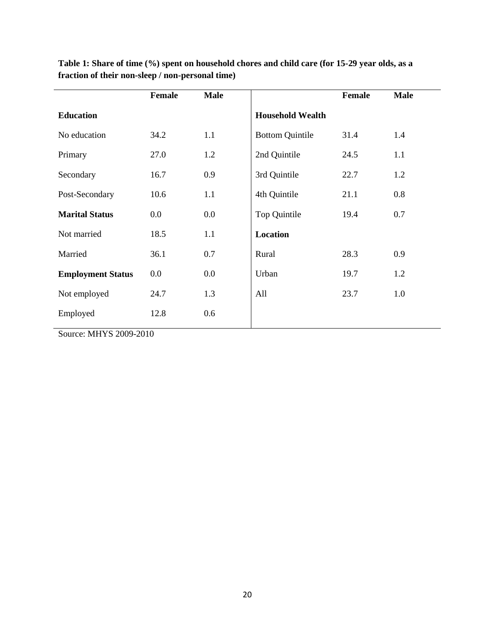|                          | Female | <b>Male</b> |                         | Female | <b>Male</b> |
|--------------------------|--------|-------------|-------------------------|--------|-------------|
| <b>Education</b>         |        |             | <b>Household Wealth</b> |        |             |
| No education             | 34.2   | 1.1         | <b>Bottom Quintile</b>  | 31.4   | 1.4         |
| Primary                  | 27.0   | 1.2         | 2nd Quintile            | 24.5   | 1.1         |
| Secondary                | 16.7   | 0.9         | 3rd Quintile            | 22.7   | 1.2         |
| Post-Secondary           | 10.6   | 1.1         | 4th Quintile            | 21.1   | 0.8         |
| <b>Marital Status</b>    | 0.0    | 0.0         | Top Quintile            | 19.4   | 0.7         |
| Not married              | 18.5   | 1.1         | Location                |        |             |
| Married                  | 36.1   | 0.7         | Rural                   | 28.3   | 0.9         |
| <b>Employment Status</b> | 0.0    | 0.0         | Urban                   | 19.7   | 1.2         |
| Not employed             | 24.7   | 1.3         | All                     | 23.7   | 1.0         |
| Employed                 | 12.8   | 0.6         |                         |        |             |

**Table 1: Share of time (%) spent on household chores and child care (for 15-29 year olds, as a fraction of their non-sleep / non-personal time)**

Source: MHYS 2009-2010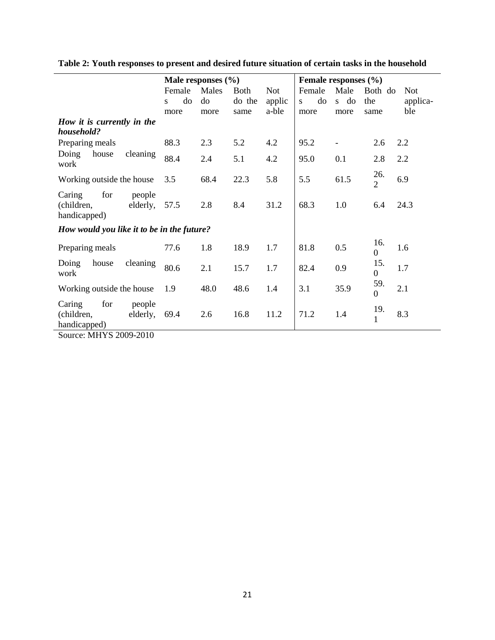|                                                                                      |                    | Male responses $(\% )$ |       |             | Female responses (%) |         |      |                         |            |
|--------------------------------------------------------------------------------------|--------------------|------------------------|-------|-------------|----------------------|---------|------|-------------------------|------------|
|                                                                                      |                    | Female                 | Males | <b>Both</b> | <b>Not</b>           | Female  | Male | Both do                 | <b>Not</b> |
|                                                                                      |                    | do<br>S.               | do    | do the      | applic               | do<br>S | s do | the                     | applica-   |
|                                                                                      |                    | more                   | more  | same        | a-ble                | more    | more | same                    | ble        |
| How it is currently in the<br>household?                                             |                    |                        |       |             |                      |         |      |                         |            |
| Preparing meals                                                                      |                    | 88.3                   | 2.3   | 5.2         | 4.2                  | 95.2    |      | 2.6                     | 2.2        |
| Doing<br>house<br>work                                                               | cleaning           | 88.4                   | 2.4   | 5.1         | 4.2                  | 95.0    | 0.1  | 2.8                     | 2.2        |
| Working outside the house                                                            |                    | 3.5                    | 68.4  | 22.3        | 5.8                  | 5.5     | 61.5 | 26.<br>$\overline{2}$   | 6.9        |
| for<br>Caring<br>(children,<br>handicapped)                                          | people<br>elderly, | 57.5                   | 2.8   | 8.4         | 31.2                 | 68.3    | 1.0  | 6.4                     | 24.3       |
| How would you like it to be in the future?                                           |                    |                        |       |             |                      |         |      |                         |            |
| Preparing meals                                                                      |                    | 77.6                   | 1.8   | 18.9        | 1.7                  | 81.8    | 0.5  | 16.<br>$\boldsymbol{0}$ | 1.6        |
| Doing<br>house<br>work                                                               | cleaning           | 80.6                   | 2.1   | 15.7        | 1.7                  | 82.4    | 0.9  | 15.<br>$\boldsymbol{0}$ | 1.7        |
| Working outside the house                                                            |                    | 1.9                    | 48.0  | 48.6        | 1.4                  | 3.1     | 35.9 | 59.<br>$\mathbf{0}$     | 2.1        |
| Caring<br>for<br>(children,<br>handicapped)<br>$\overline{1}$ <i>ittin anno anin</i> | people<br>elderly, | 69.4                   | 2.6   | 16.8        | 11.2                 | 71.2    | 1.4  | 19.<br>1                | 8.3        |

**Table 2: Youth responses to present and desired future situation of certain tasks in the household**

Source: MHYS 2009-2010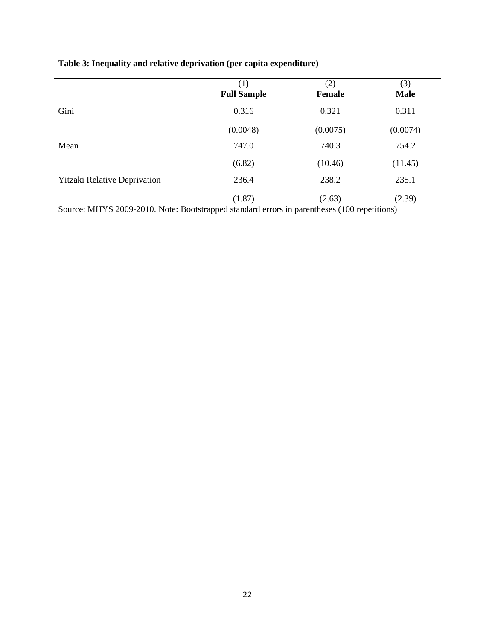|                                     | (1)                | (2)           | (3)         |
|-------------------------------------|--------------------|---------------|-------------|
|                                     | <b>Full Sample</b> | <b>Female</b> | <b>Male</b> |
| Gini                                | 0.316              | 0.321         | 0.311       |
|                                     | (0.0048)           | (0.0075)      | (0.0074)    |
| Mean                                | 747.0              | 740.3         | 754.2       |
|                                     | (6.82)             | (10.46)       | (11.45)     |
| <b>Yitzaki Relative Deprivation</b> | 236.4              | 238.2         | 235.1       |
|                                     | (1.87)             | (2.63)        | (2.39)      |

# **Table 3: Inequality and relative deprivation (per capita expenditure)**

Source: MHYS 2009-2010. Note: Bootstrapped standard errors in parentheses (100 repetitions)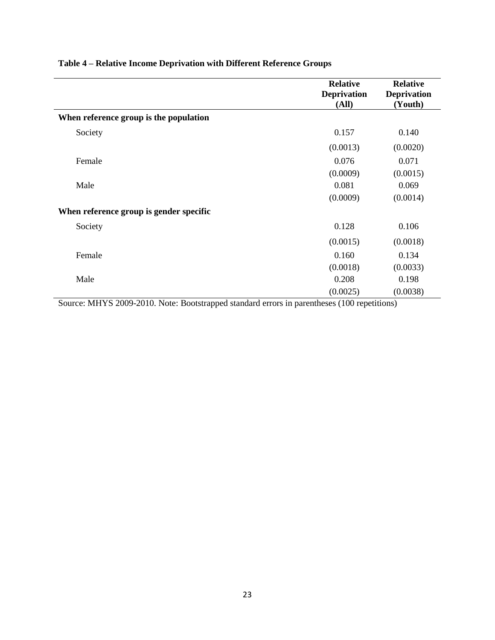|                                         | <b>Relative</b><br><b>Deprivation</b><br>(All) | <b>Relative</b><br><b>Deprivation</b><br>(Youth) |
|-----------------------------------------|------------------------------------------------|--------------------------------------------------|
| When reference group is the population  |                                                |                                                  |
| Society                                 | 0.157                                          | 0.140                                            |
|                                         | (0.0013)                                       | (0.0020)                                         |
| Female                                  | 0.076                                          | 0.071                                            |
|                                         | (0.0009)                                       | (0.0015)                                         |
| Male                                    | 0.081                                          | 0.069                                            |
|                                         | (0.0009)                                       | (0.0014)                                         |
| When reference group is gender specific |                                                |                                                  |
| Society                                 | 0.128                                          | 0.106                                            |
|                                         | (0.0015)                                       | (0.0018)                                         |
| Female                                  | 0.160                                          | 0.134                                            |
|                                         | (0.0018)                                       | (0.0033)                                         |
| Male                                    | 0.208                                          | 0.198                                            |
|                                         | (0.0025)                                       | (0.0038)                                         |

# **Table 4 – Relative Income Deprivation with Different Reference Groups**

Source: MHYS 2009-2010. Note: Bootstrapped standard errors in parentheses (100 repetitions)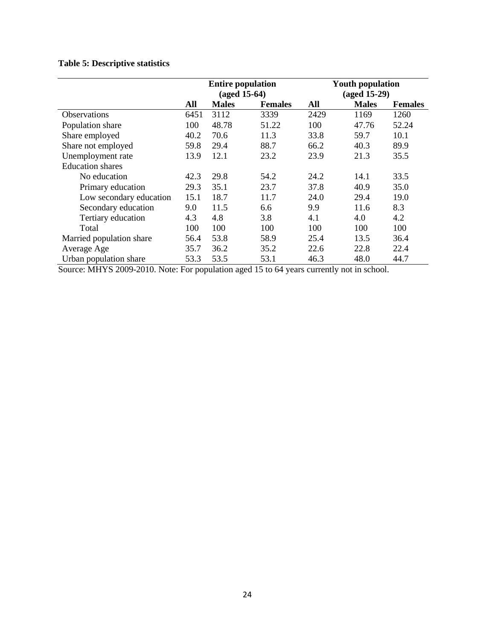# **Table 5: Descriptive statistics**

|                          | <b>Entire population</b><br>$(aged 15-64)$ |              |                | <b>Youth population</b><br>$(aged 15-29)$ |              |                |
|--------------------------|--------------------------------------------|--------------|----------------|-------------------------------------------|--------------|----------------|
|                          | All                                        | <b>Males</b> | <b>Females</b> | All                                       | <b>Males</b> | <b>Females</b> |
| <b>Observations</b>      | 6451                                       | 3112         | 3339           | 2429                                      | 1169         | 1260           |
| Population share         | 100                                        | 48.78        | 51.22          | 100                                       | 47.76        | 52.24          |
| Share employed           | 40.2                                       | 70.6         | 11.3           | 33.8                                      | 59.7         | 10.1           |
| Share not employed       | 59.8                                       | 29.4         | 88.7           | 66.2                                      | 40.3         | 89.9           |
| Unemployment rate        | 13.9                                       | 12.1         | 23.2           | 23.9                                      | 21.3         | 35.5           |
| <b>Education shares</b>  |                                            |              |                |                                           |              |                |
| No education             | 42.3                                       | 29.8         | 54.2           | 24.2                                      | 14.1         | 33.5           |
| Primary education        | 29.3                                       | 35.1         | 23.7           | 37.8                                      | 40.9         | 35.0           |
| Low secondary education  | 15.1                                       | 18.7         | 11.7           | 24.0                                      | 29.4         | 19.0           |
| Secondary education      | 9.0                                        | 11.5         | 6.6            | 9.9                                       | 11.6         | 8.3            |
| Tertiary education       | 4.3                                        | 4.8          | 3.8            | 4.1                                       | 4.0          | 4.2            |
| Total                    | 100                                        | 100          | 100            | 100                                       | 100          | 100            |
| Married population share | 56.4                                       | 53.8         | 58.9           | 25.4                                      | 13.5         | 36.4           |
| Average Age              | 35.7                                       | 36.2         | 35.2           | 22.6                                      | 22.8         | 22.4           |
| Urban population share   | 53.3                                       | 53.5         | 53.1           | 46.3                                      | 48.0         | 44.7           |

Source: MHYS 2009-2010. Note: For population aged 15 to 64 years currently not in school.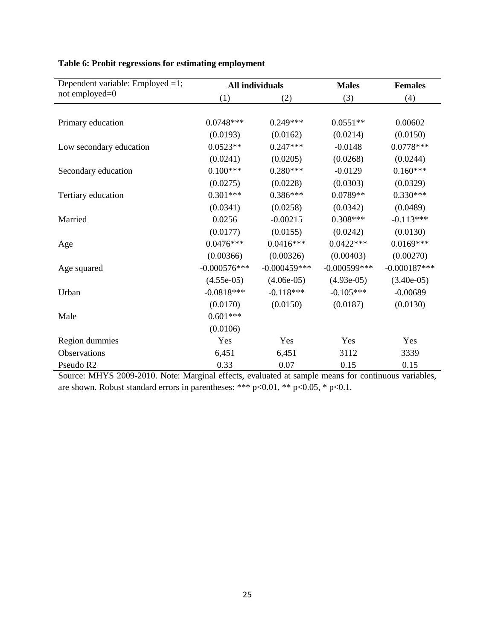| Dependent variable: Employed =1; |                | <b>All individuals</b> | <b>Males</b>    | <b>Females</b> |
|----------------------------------|----------------|------------------------|-----------------|----------------|
| not employed=0                   | (1)            | (2)                    | (3)             | (4)            |
|                                  |                |                        |                 |                |
| Primary education                | $0.0748***$    | $0.249***$             | $0.0551**$      | 0.00602        |
|                                  | (0.0193)       | (0.0162)               | (0.0214)        | (0.0150)       |
| Low secondary education          | $0.0523**$     | $0.247***$             | $-0.0148$       | $0.0778***$    |
|                                  | (0.0241)       | (0.0205)               | (0.0268)        | (0.0244)       |
| Secondary education              | $0.100***$     | $0.280***$             | $-0.0129$       | $0.160***$     |
|                                  | (0.0275)       | (0.0228)               | (0.0303)        | (0.0329)       |
| Tertiary education               | $0.301***$     | $0.386***$             | $0.0789**$      | $0.330***$     |
|                                  | (0.0341)       | (0.0258)               | (0.0342)        | (0.0489)       |
| Married                          | 0.0256         | $-0.00215$             | $0.308***$      | $-0.113***$    |
|                                  | (0.0177)       | (0.0155)               | (0.0242)        | (0.0130)       |
| Age                              | $0.0476***$    | $0.0416***$            | $0.0422***$     | $0.0169***$    |
|                                  | (0.00366)      | (0.00326)              | (0.00403)       | (0.00270)      |
| Age squared                      | $-0.000576***$ | $-0.000459***$         | $-0.000599$ *** | $-0.000187***$ |
|                                  | $(4.55e-05)$   | $(4.06e-05)$           | $(4.93e-05)$    | $(3.40e-05)$   |
| Urban                            | $-0.0818***$   | $-0.118***$            | $-0.105***$     | $-0.00689$     |
|                                  | (0.0170)       | (0.0150)               | (0.0187)        | (0.0130)       |
| Male                             | $0.601***$     |                        |                 |                |
|                                  | (0.0106)       |                        |                 |                |
| Region dummies                   | Yes            | Yes                    | Yes             | Yes            |
| Observations                     | 6,451          | 6,451                  | 3112            | 3339           |
| Pseudo R2                        | 0.33           | 0.07                   | 0.15            | 0.15           |

# **Table 6: Probit regressions for estimating employment**

Source: MHYS 2009-2010. Note: Marginal effects, evaluated at sample means for continuous variables, are shown. Robust standard errors in parentheses: \*\*\*  $p<0.01$ , \*\*  $p<0.05$ , \*  $p<0.1$ .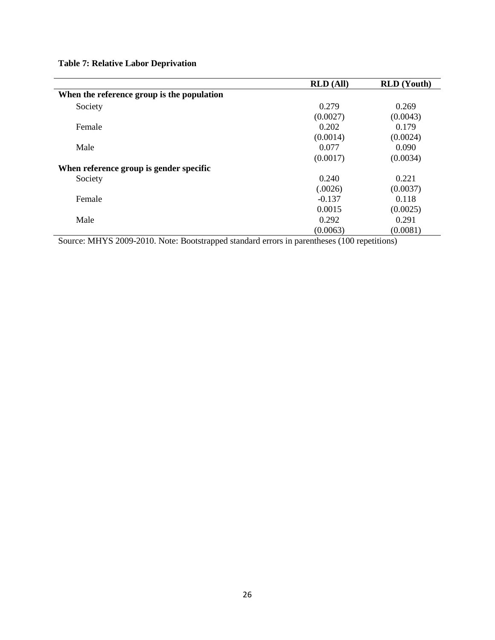| <b>Table 7: Relative Labor Deprivation</b> |
|--------------------------------------------|
|--------------------------------------------|

|                                            | <b>RLD</b> (All) | <b>RLD</b> (Youth) |
|--------------------------------------------|------------------|--------------------|
| When the reference group is the population |                  |                    |
| Society                                    | 0.279            | 0.269              |
|                                            | (0.0027)         | (0.0043)           |
| Female                                     | 0.202            | 0.179              |
|                                            | (0.0014)         | (0.0024)           |
| Male                                       | 0.077            | 0.090              |
|                                            | (0.0017)         | (0.0034)           |
| When reference group is gender specific    |                  |                    |
| Society                                    | 0.240            | 0.221              |
|                                            | (.0026)          | (0.0037)           |
| Female                                     | $-0.137$         | 0.118              |
|                                            | 0.0015           | (0.0025)           |
| Male                                       | 0.292            | 0.291              |
|                                            | (0.0063)         | (0.0081)           |

Source: MHYS 2009-2010. Note: Bootstrapped standard errors in parentheses (100 repetitions)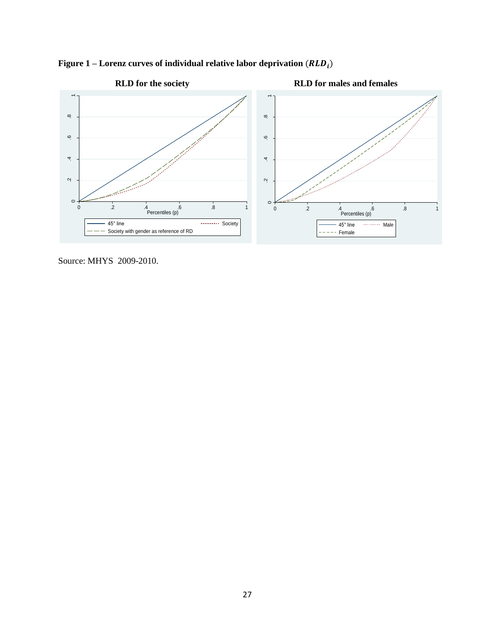

Figure 1 – Lorenz curves of individual relative labor deprivation  $(RLD_i)$ 

Source: MHYS 2009-2010.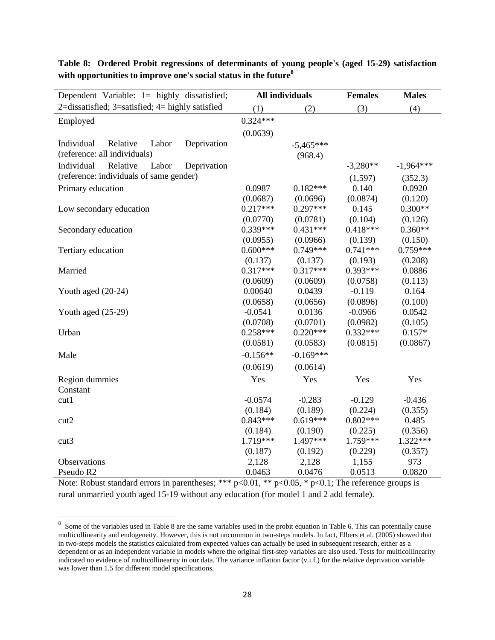| Dependent Variable: 1= highly dissatisfied;        |            | <b>All individuals</b> | <b>Females</b> | <b>Males</b> |
|----------------------------------------------------|------------|------------------------|----------------|--------------|
| 2=dissatisfied; 3=satisfied; $4=$ highly satisfied | (1)        | (2)                    | (3)            | (4)          |
| Employed                                           | $0.324***$ |                        |                |              |
|                                                    | (0.0639)   |                        |                |              |
| Deprivation<br>Individual<br>Relative<br>Labor     |            | $-5,465***$            |                |              |
| (reference: all individuals)                       |            | (968.4)                |                |              |
| Individual<br>Relative<br>Labor<br>Deprivation     |            |                        | $-3,280**$     | $-1,964***$  |
| (reference: individuals of same gender)            |            |                        | (1,597)        | (352.3)      |
| Primary education                                  | 0.0987     | $0.182***$             | 0.140          | 0.0920       |
|                                                    | (0.0687)   | (0.0696)               | (0.0874)       | (0.120)      |
| Low secondary education                            | $0.217***$ | $0.297***$             | 0.145          | $0.300**$    |
|                                                    | (0.0770)   | (0.0781)               | (0.104)        | (0.126)      |
| Secondary education                                | $0.339***$ | $0.431***$             | $0.418***$     | $0.360**$    |
|                                                    | (0.0955)   | (0.0966)               | (0.139)        | (0.150)      |
| Tertiary education                                 | $0.600***$ | $0.749***$             | $0.741***$     | $0.759***$   |
|                                                    | (0.137)    | (0.137)                | (0.193)        | (0.208)      |
| Married                                            | $0.317***$ | $0.317***$             | $0.393***$     | 0.0886       |
|                                                    | (0.0609)   | (0.0609)               | (0.0758)       | (0.113)      |
| Youth aged $(20-24)$                               | 0.00640    | 0.0439                 | $-0.119$       | 0.164        |
|                                                    | (0.0658)   | (0.0656)               | (0.0896)       | (0.100)      |
| Youth aged $(25-29)$                               | $-0.0541$  | 0.0136                 | $-0.0966$      | 0.0542       |
|                                                    | (0.0708)   | (0.0701)               | (0.0982)       | (0.105)      |
| Urban                                              | $0.258***$ | $0.220***$             | $0.332***$     | $0.157*$     |
|                                                    | (0.0581)   | (0.0583)               | (0.0815)       | (0.0867)     |
| Male                                               | $-0.156**$ | $-0.169***$            |                |              |
|                                                    | (0.0619)   | (0.0614)               |                |              |
| Region dummies                                     | Yes        | Yes                    | Yes            | Yes          |
| Constant                                           |            |                        |                |              |
| cut1                                               | $-0.0574$  | $-0.283$               | $-0.129$       | $-0.436$     |
|                                                    | (0.184)    | (0.189)                | (0.224)        | (0.355)      |
| cut2                                               | $0.843***$ | $0.619***$             | $0.802***$     | 0.485        |
|                                                    | (0.184)    | (0.190)                | (0.225)        | (0.356)      |
| cut3                                               | 1.719***   | 1.497***               | 1.759***       | 1.322***     |
|                                                    | (0.187)    | (0.192)                | (0.229)        | (0.357)      |
| Observations                                       | 2,128      | 2,128                  | 1,155          | 973          |
| Pseudo R2                                          | 0.0463     | 0.0476                 | 0.0513         | 0.0820       |

**Table 8: Ordered Probit regressions of determinants of young people's (aged 15-29) satisfaction with opportunities to improve one's social status in the future<sup>8</sup>**

Note: Robust standard errors in parentheses; \*\*\* p<0.01, \*\* p<0.05, \* p<0.1; The reference groups is rural unmarried youth aged 15-19 without any education (for model 1 and 2 add female).

<sup>&</sup>lt;sup>8</sup> Some of the variables used in Table 8 are the same variables used in the probit equation in Table 6. This can potentially cause multicollinearity and endogeneity. However, this is not uncommon in two-steps models. In fact, Elbers et al. (2005) showed that in two-steps models the statistics calculated from expected values can actually be used in subsequent research, either as a dependent or as an independent variable in models where the original first-step variables are also used. Tests for multicollinearity indicated no evidence of multicollinearity in our data. The variance inflation factor (v.i.f.) for the relative deprivation variable was lower than 1.5 for different model specifications.